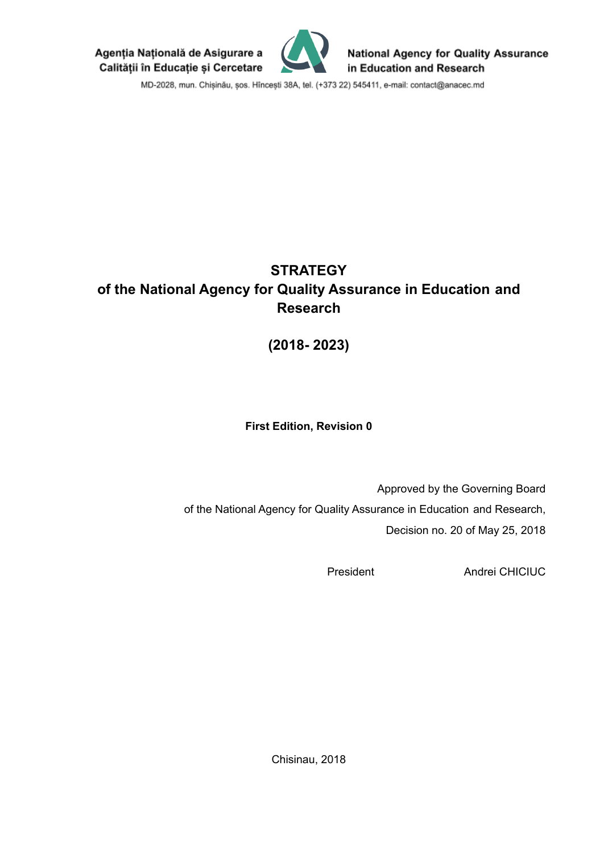Agenția Națională de Asigurare a Calității în Educație și Cercetare



**National Agency for Quality Assurance** in Education and Research

MD-2028, mun. Chișinău, șos. Hîncești 38A, tel. (+373 22) 545411, e-mail: contact@anacec.md

# **STRATEGY of the National Agency for Quality Assurance in Education and Research**

**(2018- 2023)**

# **First Edition, Revision 0**

Approved by the Governing Board of the National Agency for Quality Assurance in Education and Research, Decision no. 20 of May 25, 2018

President Andrei CHICIUC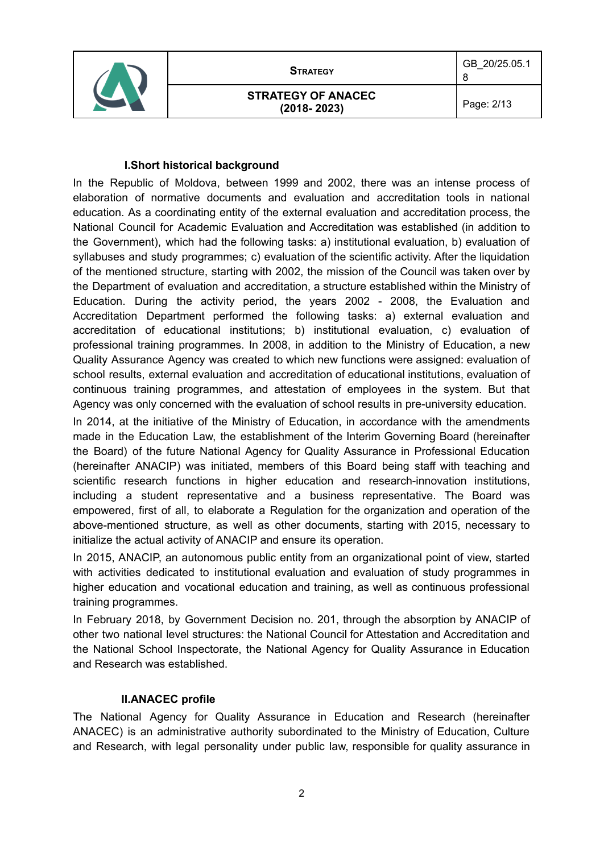

8

#### **I.Short historical background**

In the Republic of Moldova, between 1999 and 2002, there was an intense process of elaboration of normative documents and evaluation and accreditation tools in national education. As a coordinating entity of the external evaluation and accreditation process, the National Council for Academic Evaluation and Accreditation was established (in addition to the Government), which had the following tasks: a) institutional evaluation, b) evaluation of syllabuses and study programmes; c) evaluation of the scientific activity. After the liquidation of the mentioned structure, starting with 2002, the mission of the Council was taken over by the Department of evaluation and accreditation, a structure established within the Ministry of Education. During the activity period, the years 2002 - 2008, the Evaluation and Accreditation Department performed the following tasks: a) external evaluation and accreditation of educational institutions; b) institutional evaluation, c) evaluation of professional training programmes. In 2008, in addition to the Ministry of Education, a new Quality Assurance Agency was created to which new functions were assigned: evaluation of school results, external evaluation and accreditation of educational institutions, evaluation of continuous training programmes, and attestation of employees in the system. But that Agency was only concerned with the evaluation of school results in pre-university education.

In 2014, at the initiative of the Ministry of Education, in accordance with the amendments made in the Education Law, the establishment of the Interim Governing Board (hereinafter the Board) of the future National Agency for Quality Assurance in Professional Education (hereinafter ANACIP) was initiated, members of this Board being staff with teaching and scientific research functions in higher education and research-innovation institutions, including a student representative and a business representative. The Board was empowered, first of all, to elaborate a Regulation for the organization and operation of the above-mentioned structure, as well as other documents, starting with 2015, necessary to initialize the actual activity of ANACIP and ensure its operation.

In 2015, ANACIP, an autonomous public entity from an organizational point of view, started with activities dedicated to institutional evaluation and evaluation of study programmes in higher education and vocational education and training, as well as continuous professional training programmes.

In February 2018, by Government Decision no. 201, through the absorption by ANACIP of other two national level structures: the National Council for Attestation and Accreditation and the National School Inspectorate, the National Agency for Quality Assurance in Education and Research was established.

#### **II.ANACEC profile**

The National Agency for Quality Assurance in Education and Research (hereinafter ANACEC) is an administrative authority subordinated to the Ministry of Education, Culture and Research, with legal personality under public law, responsible for quality assurance in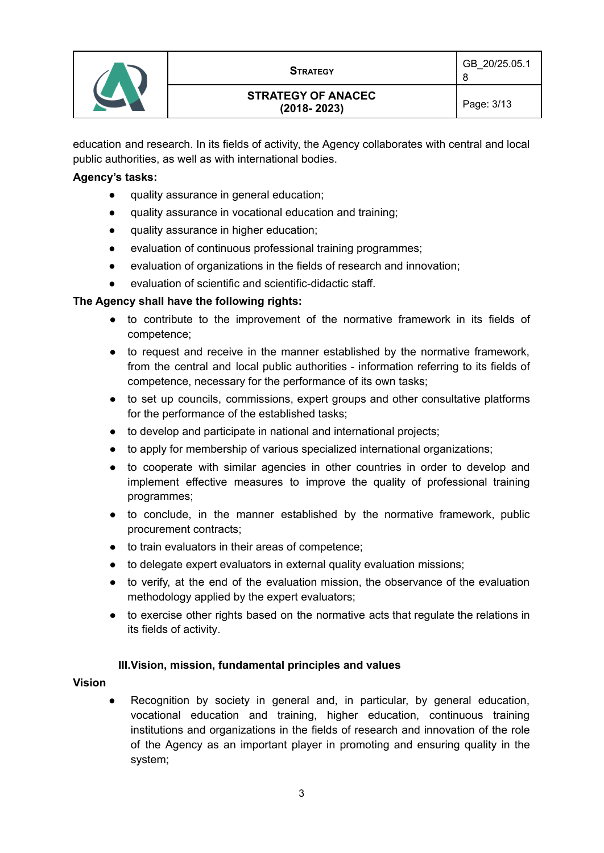

education and research. In its fields of activity, the Agency collaborates with central and local public authorities, as well as with international bodies.

#### **Agency's tasks:**

- quality assurance in general education;
- quality assurance in vocational education and training;
- quality assurance in higher education;
- evaluation of continuous professional training programmes;
- evaluation of organizations in the fields of research and innovation;
- evaluation of scientific and scientific-didactic staff.

#### **The Agency shall have the following rights:**

- to contribute to the improvement of the normative framework in its fields of competence;
- to request and receive in the manner established by the normative framework, from the central and local public authorities - information referring to its fields of competence, necessary for the performance of its own tasks;
- to set up councils, commissions, expert groups and other consultative platforms for the performance of the established tasks;
- to develop and participate in national and international projects;
- to apply for membership of various specialized international organizations;
- to cooperate with similar agencies in other countries in order to develop and implement effective measures to improve the quality of professional training programmes;
- to conclude, in the manner established by the normative framework, public procurement contracts;
- to train evaluators in their areas of competence;
- to delegate expert evaluators in external quality evaluation missions:
- to verify, at the end of the evaluation mission, the observance of the evaluation methodology applied by the expert evaluators;
- to exercise other rights based on the normative acts that regulate the relations in its fields of activity.

#### **III.Vision, mission, fundamental principles and values**

#### **Vision**

Recognition by society in general and, in particular, by general education, vocational education and training, higher education, continuous training institutions and organizations in the fields of research and innovation of the role of the Agency as an important player in promoting and ensuring quality in the system;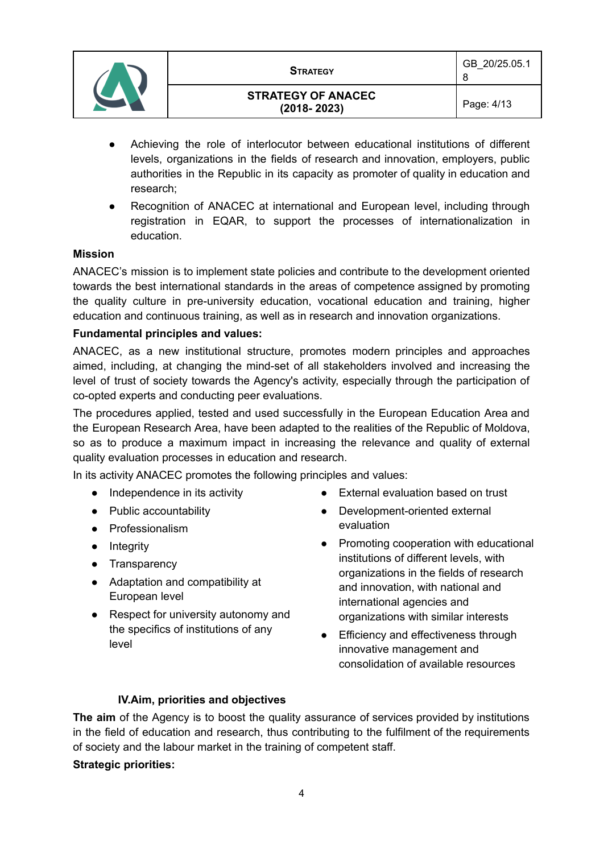

8

- Achieving the role of interlocutor between educational institutions of different levels, organizations in the fields of research and innovation, employers, public authorities in the Republic in its capacity as promoter of quality in education and research;
- Recognition of ANACEC at international and European level, including through registration in EQAR, to support the processes of internationalization in education.

#### **Mission**

ANACEC's mission is to implement state policies and contribute to the development oriented towards the best international standards in the areas of competence assigned by promoting the quality culture in pre-university education, vocational education and training, higher education and continuous training, as well as in research and innovation organizations.

#### **Fundamental principles and values:**

ANACEC, as a new institutional structure, promotes modern principles and approaches aimed, including, at changing the mind-set of all stakeholders involved and increasing the level of trust of society towards the Agency's activity, especially through the participation of co-opted experts and conducting peer evaluations.

The procedures applied, tested and used successfully in the European Education Area and the European Research Area, have been adapted to the realities of the Republic of Moldova, so as to produce a maximum impact in increasing the relevance and quality of external quality evaluation processes in education and research.

In its activity ANACEC promotes the following principles and values:

- Independence in its activity
- Public accountability
- Professionalism
- Integrity
- Transparency
- Adaptation and compatibility at European level
- Respect for university autonomy and the specifics of institutions of any level
- External evaluation based on trust
- Development-oriented external evaluation
- Promoting cooperation with educational institutions of different levels, with organizations in the fields of research and innovation, with national and international agencies and organizations with similar interests
- Efficiency and effectiveness through innovative management and consolidation of available resources

#### **IV.Aim, priorities and objectives**

**The aim** of the Agency is to boost the quality assurance of services provided by institutions in the field of education and research, thus contributing to the fulfilment of the requirements of society and the labour market in the training of competent staff.

#### **Strategic priorities:**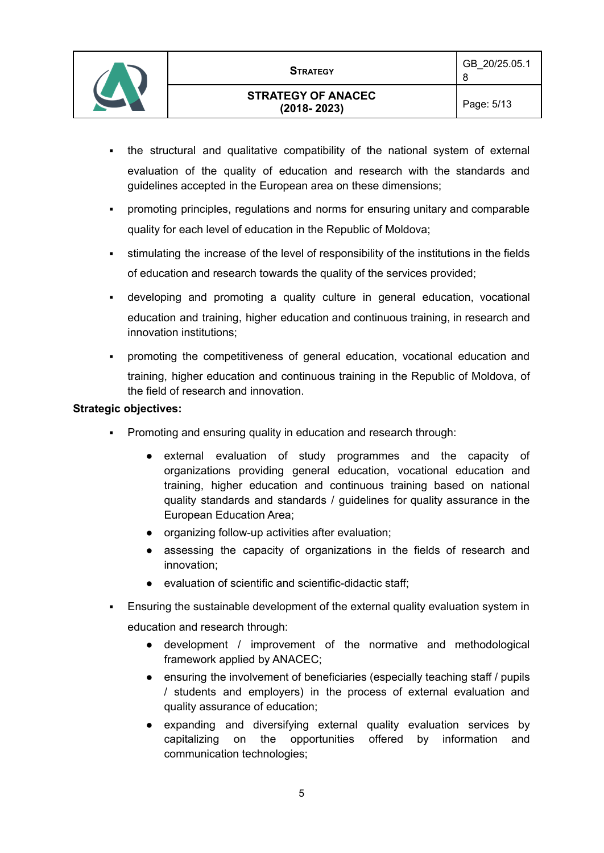

- the structural and qualitative compatibility of the national system of external evaluation of the quality of education and research with the standards and guidelines accepted in the European area on these dimensions;
- promoting principles, regulations and norms for ensuring unitary and comparable quality for each level of education in the Republic of Moldova;
- stimulating the increase of the level of responsibility of the institutions in the fields of education and research towards the quality of the services provided;
- developing and promoting a quality culture in general education, vocational education and training, higher education and continuous training, in research and innovation institutions;
- promoting the competitiveness of general education, vocational education and training, higher education and continuous training in the Republic of Moldova, of the field of research and innovation.

#### **Strategic objectives:**

- Promoting and ensuring quality in education and research through:
	- external evaluation of study programmes and the capacity of organizations providing general education, vocational education and training, higher education and continuous training based on national quality standards and standards / guidelines for quality assurance in the European Education Area;
	- organizing follow-up activities after evaluation;
	- assessing the capacity of organizations in the fields of research and innovation;
	- evaluation of scientific and scientific-didactic staff;
- Ensuring the sustainable development of the external quality evaluation system in education and research through:
	- development / improvement of the normative and methodological framework applied by ANACEC;
	- ensuring the involvement of beneficiaries (especially teaching staff / pupils / students and employers) in the process of external evaluation and quality assurance of education;
	- expanding and diversifying external quality evaluation services by capitalizing on the opportunities offered by information and communication technologies;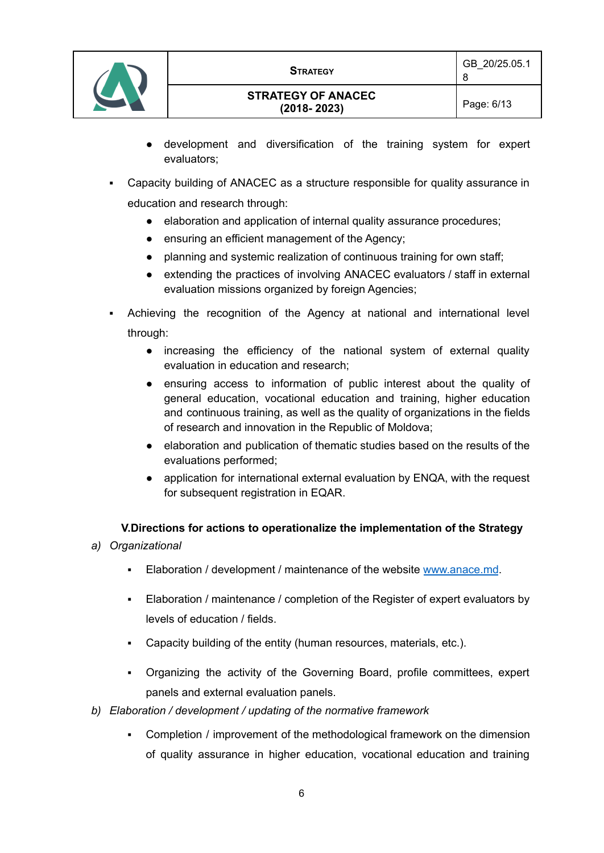

- development and diversification of the training system for expert evaluators;
- Capacity building of ANACEC as a structure responsible for quality assurance in education and research through:
	- elaboration and application of internal quality assurance procedures;
	- ensuring an efficient management of the Agency;
	- planning and systemic realization of continuous training for own staff;
	- extending the practices of involving ANACEC evaluators / staff in external evaluation missions organized by foreign Agencies;
- Achieving the recognition of the Agency at national and international level through:
	- increasing the efficiency of the national system of external quality evaluation in education and research;
	- ensuring access to information of public interest about the quality of general education, vocational education and training, higher education and continuous training, as well as the quality of organizations in the fields of research and innovation in the Republic of Moldova;
	- elaboration and publication of thematic studies based on the results of the evaluations performed;
	- application for international external evaluation by ENQA, with the request for subsequent registration in EQAR.

#### **V.Directions for actions to operationalize the implementation of the Strategy**

- *a) Organizational*
	- **Elaboration / development / maintenance of the website [www.anace.md](http://www.anace.md).**
	- Elaboration / maintenance / completion of the Register of expert evaluators by levels of education / fields.
	- Capacity building of the entity (human resources, materials, etc.).
	- Organizing the activity of the Governing Board, profile committees, expert panels and external evaluation panels.
- *b) Elaboration / development / updating of the normative framework*
	- Completion / improvement of the methodological framework on the dimension of quality assurance in higher education, vocational education and training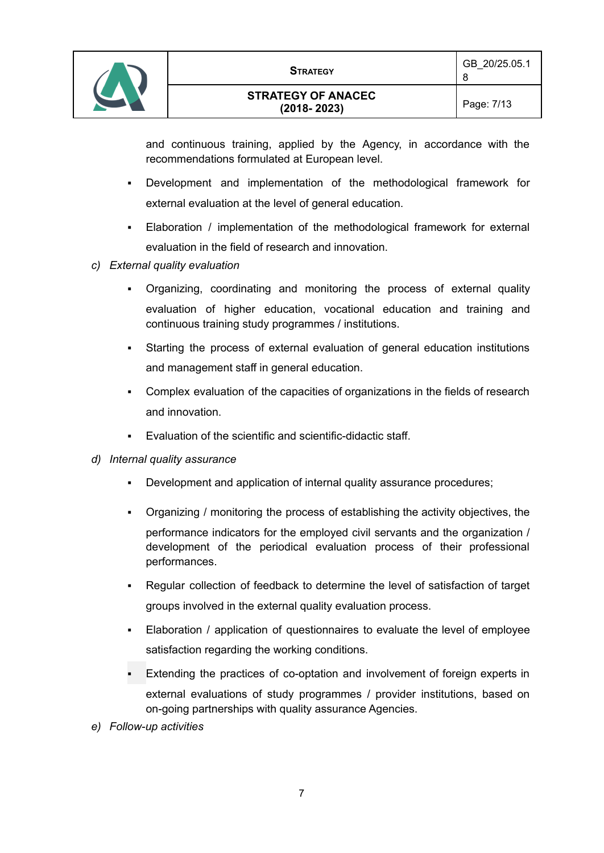



and continuous training, applied by the Agency, in accordance with the recommendations formulated at European level.

- Development and implementation of the methodological framework for external evaluation at the level of general education.
- Elaboration / implementation of the methodological framework for external evaluation in the field of research and innovation.
- *c) External quality evaluation*
	- Organizing, coordinating and monitoring the process of external quality evaluation of higher education, vocational education and training and continuous training study programmes / institutions.
	- Starting the process of external evaluation of general education institutions and management staff in general education.
	- Complex evaluation of the capacities of organizations in the fields of research and innovation.
	- Evaluation of the scientific and scientific-didactic staff.
- *d) Internal quality assurance*
	- Development and application of internal quality assurance procedures;
	- Organizing / monitoring the process of establishing the activity objectives, the performance indicators for the employed civil servants and the organization / development of the periodical evaluation process of their professional performances.
	- Regular collection of feedback to determine the level of satisfaction of target groups involved in the external quality evaluation process.
	- Elaboration / application of questionnaires to evaluate the level of employee satisfaction regarding the working conditions.
	- Extending the practices of co-optation and involvement of foreign experts in external evaluations of study programmes / provider institutions, based on on-going partnerships with quality assurance Agencies.
- *e) Follow-up activities*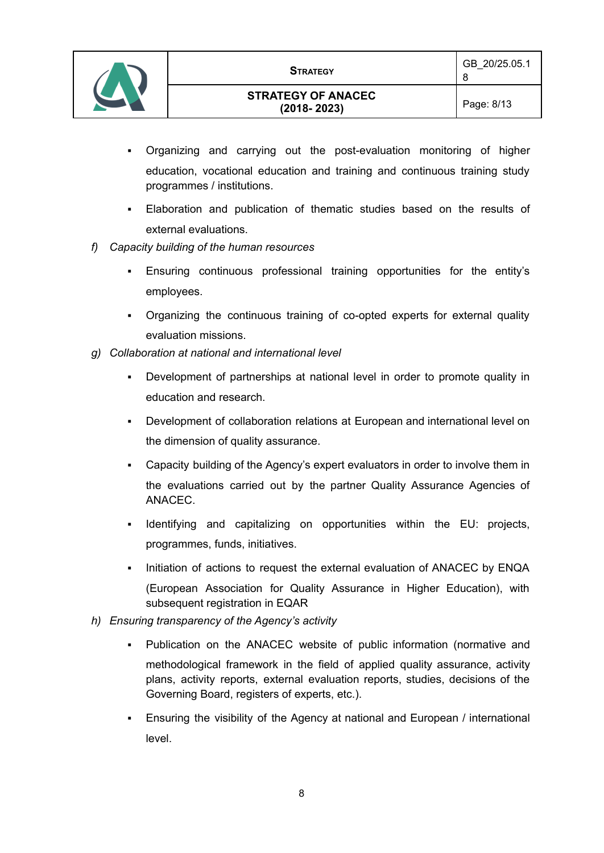

- Organizing and carrying out the post-evaluation monitoring of higher education, vocational education and training and continuous training study programmes / institutions.
- Elaboration and publication of thematic studies based on the results of external evaluations.
- *f) Capacity building of the human resources*
	- Ensuring continuous professional training opportunities for the entity's employees.
	- Organizing the continuous training of co-opted experts for external quality evaluation missions.
- *g) Collaboration at national and international level*
	- Development of partnerships at national level in order to promote quality in education and research.
	- Development of collaboration relations at European and international level on the dimension of quality assurance.
	- Capacity building of the Agency's expert evaluators in order to involve them in the evaluations carried out by the partner Quality Assurance Agencies of ANACEC.
	- Identifying and capitalizing on opportunities within the EU: projects, programmes, funds, initiatives.
	- Initiation of actions to request the external evaluation of ANACEC by ENQA (European Association for Quality Assurance in Higher Education), with subsequent registration in EQAR
- *h) Ensuring transparency of the Agency's activity*
	- Publication on the ANACEC website of public information (normative and methodological framework in the field of applied quality assurance, activity plans, activity reports, external evaluation reports, studies, decisions of the Governing Board, registers of experts, etc.).
	- Ensuring the visibility of the Agency at national and European / international level.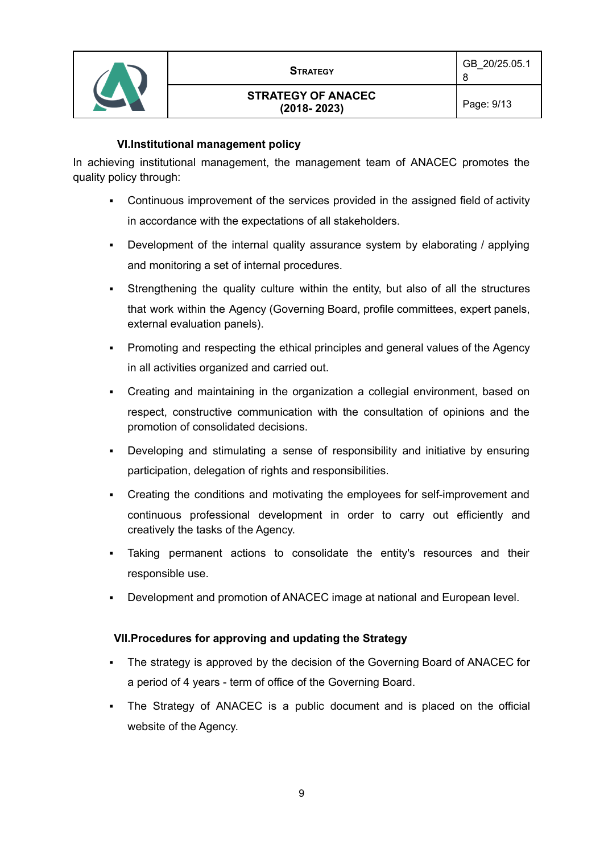

# **VI.Institutional management policy**

In achieving institutional management, the management team of ANACEC promotes the quality policy through:

- Continuous improvement of the services provided in the assigned field of activity in accordance with the expectations of all stakeholders.
- Development of the internal quality assurance system by elaborating / applying and monitoring a set of internal procedures.
- Strengthening the quality culture within the entity, but also of all the structures that work within the Agency (Governing Board, profile committees, expert panels, external evaluation panels).
- Promoting and respecting the ethical principles and general values of the Agency in all activities organized and carried out.
- Creating and maintaining in the organization a collegial environment, based on respect, constructive communication with the consultation of opinions and the promotion of consolidated decisions.
- Developing and stimulating a sense of responsibility and initiative by ensuring participation, delegation of rights and responsibilities.
- Creating the conditions and motivating the employees for self-improvement and continuous professional development in order to carry out efficiently and creatively the tasks of the Agency.
- Taking permanent actions to consolidate the entity's resources and their responsible use.
- Development and promotion of ANACEC image at national and European level.

# **VII.Procedures for approving and updating the Strategy**

- The strategy is approved by the decision of the Governing Board of ANACEC for a period of 4 years - term of office of the Governing Board.
- The Strategy of ANACEC is a public document and is placed on the official website of the Agency.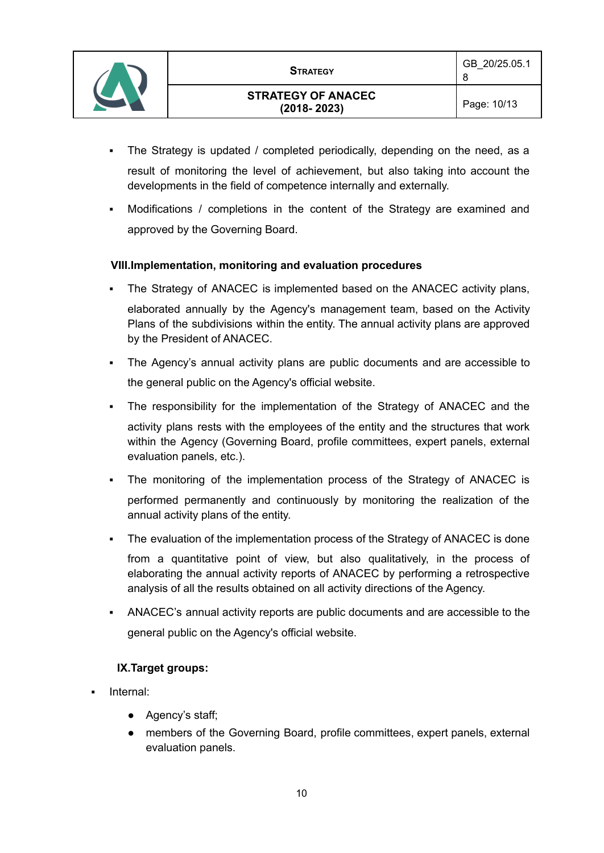

8

- The Strategy is updated / completed periodically, depending on the need, as a result of monitoring the level of achievement, but also taking into account the developments in the field of competence internally and externally.
- Modifications / completions in the content of the Strategy are examined and approved by the Governing Board.

# **VIII.Implementation, monitoring and evaluation procedures**

- The Strategy of ANACEC is implemented based on the ANACEC activity plans, elaborated annually by the Agency's management team, based on the Activity Plans of the subdivisions within the entity. The annual activity plans are approved by the President of ANACEC.
- The Agency's annual activity plans are public documents and are accessible to the general public on the Agency's official website.
- The responsibility for the implementation of the Strategy of ANACEC and the activity plans rests with the employees of the entity and the structures that work within the Agency (Governing Board, profile committees, expert panels, external evaluation panels, etc.).
- The monitoring of the implementation process of the Strategy of ANACEC is performed permanently and continuously by monitoring the realization of the annual activity plans of the entity.
- The evaluation of the implementation process of the Strategy of ANACEC is done

from a quantitative point of view, but also qualitatively, in the process of elaborating the annual activity reports of ANACEC by performing a retrospective analysis of all the results obtained on all activity directions of the Agency.

ANACEC's annual activity reports are public documents and are accessible to the general public on the Agency's official website.

#### **IX.Target groups:**

- Internal:
	- Agency's staff;
	- members of the Governing Board, profile committees, expert panels, external evaluation panels.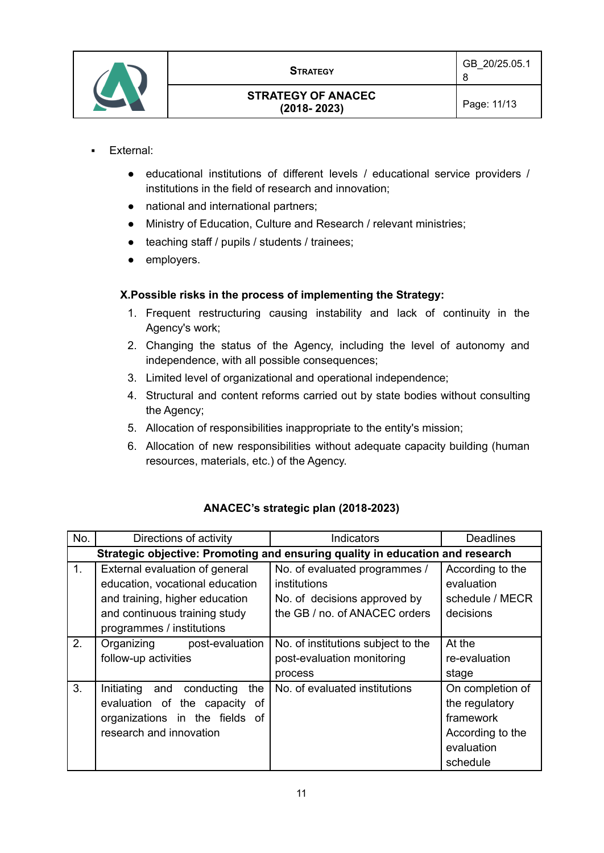

- External:
	- educational institutions of different levels / educational service providers / institutions in the field of research and innovation;
	- national and international partners;
	- Ministry of Education, Culture and Research / relevant ministries;
	- teaching staff / pupils / students / trainees;
	- employers.

# **X.Possible risks in the process of implementing the Strategy:**

- 1. Frequent restructuring causing instability and lack of continuity in the Agency's work;
- 2. Changing the status of the Agency, including the level of autonomy and independence, with all possible consequences;
- 3. Limited level of organizational and operational independence;
- 4. Structural and content reforms carried out by state bodies without consulting the Agency;
- 5. Allocation of responsibilities inappropriate to the entity's mission;
- 6. Allocation of new responsibilities without adequate capacity building (human resources, materials, etc.) of the Agency.

| No. | Directions of activity                                                        | <b>Indicators</b>                  | <b>Deadlines</b> |  |  |
|-----|-------------------------------------------------------------------------------|------------------------------------|------------------|--|--|
|     | Strategic objective: Promoting and ensuring quality in education and research |                                    |                  |  |  |
| 1.  | External evaluation of general                                                | No. of evaluated programmes /      | According to the |  |  |
|     | education, vocational education                                               | institutions                       | evaluation       |  |  |
|     | and training, higher education                                                | No. of decisions approved by       | schedule / MECR  |  |  |
|     | and continuous training study                                                 | the GB / no. of ANACEC orders      | decisions        |  |  |
|     | programmes / institutions                                                     |                                    |                  |  |  |
| 2.  | Organizing post-evaluation                                                    | No. of institutions subject to the | At the           |  |  |
|     | follow-up activities                                                          | post-evaluation monitoring         | re-evaluation    |  |  |
|     |                                                                               | process                            | stage            |  |  |
| 3.  | Initiating and conducting<br>the                                              | No. of evaluated institutions      | On completion of |  |  |
|     | evaluation of the capacity of                                                 |                                    | the regulatory   |  |  |
|     | organizations in the fields of                                                |                                    | framework        |  |  |
|     | research and innovation                                                       |                                    | According to the |  |  |
|     |                                                                               |                                    | evaluation       |  |  |
|     |                                                                               |                                    | schedule         |  |  |

# **ANACEC's strategic plan (2018-2023)**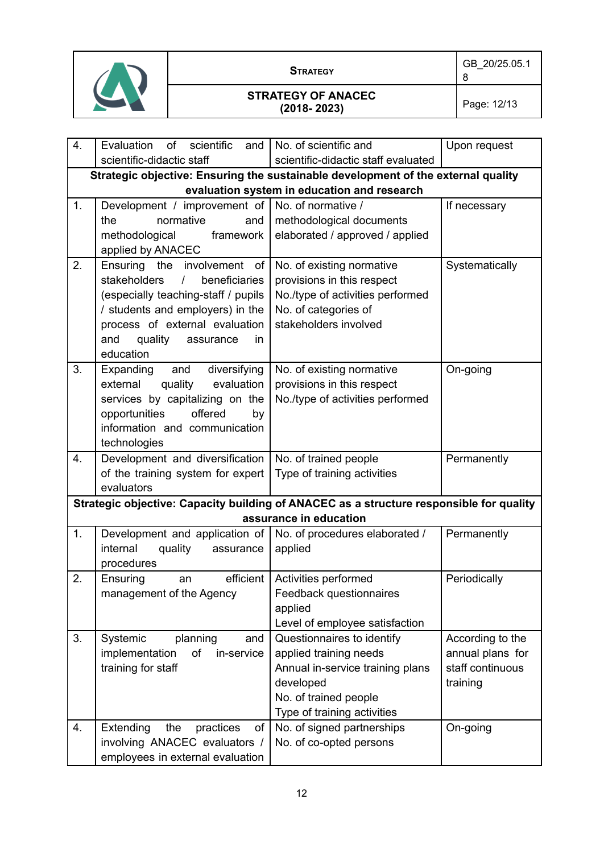

| 4.                                          | Evaluation<br>of<br>scientific<br>and                                                   | No. of scientific and               | Upon request     |  |  |
|---------------------------------------------|-----------------------------------------------------------------------------------------|-------------------------------------|------------------|--|--|
|                                             | scientific-didactic staff                                                               | scientific-didactic staff evaluated |                  |  |  |
|                                             | Strategic objective: Ensuring the sustainable development of the external quality       |                                     |                  |  |  |
| evaluation system in education and research |                                                                                         |                                     |                  |  |  |
| 1.                                          | Development / improvement of   No. of normative /                                       |                                     | If necessary     |  |  |
|                                             | normative<br>the<br>and                                                                 | methodological documents            |                  |  |  |
|                                             | methodological<br>framework                                                             | elaborated / approved / applied     |                  |  |  |
|                                             | applied by ANACEC                                                                       |                                     |                  |  |  |
| 2.                                          | Ensuring the involvement of                                                             | No. of existing normative           | Systematically   |  |  |
|                                             | $\overline{1}$<br>stakeholders<br>beneficiaries                                         | provisions in this respect          |                  |  |  |
|                                             | (especially teaching-staff / pupils                                                     | No./type of activities performed    |                  |  |  |
|                                             | / students and employers) in the                                                        | No. of categories of                |                  |  |  |
|                                             | process of external evaluation                                                          | stakeholders involved               |                  |  |  |
|                                             | quality<br>and<br>assurance<br>in.                                                      |                                     |                  |  |  |
|                                             | education                                                                               |                                     |                  |  |  |
| 3.                                          | Expanding and<br>diversifying                                                           | No. of existing normative           | On-going         |  |  |
|                                             | external<br>quality<br>evaluation                                                       | provisions in this respect          |                  |  |  |
|                                             | services by capitalizing on the                                                         | No./type of activities performed    |                  |  |  |
|                                             | opportunities<br>offered<br>by                                                          |                                     |                  |  |  |
|                                             | information and communication                                                           |                                     |                  |  |  |
|                                             | technologies                                                                            |                                     |                  |  |  |
| 4.                                          | Development and diversification                                                         | No. of trained people               | Permanently      |  |  |
|                                             | of the training system for expert                                                       | Type of training activities         |                  |  |  |
|                                             | evaluators                                                                              |                                     |                  |  |  |
|                                             | Strategic objective: Capacity building of ANACEC as a structure responsible for quality |                                     |                  |  |  |
|                                             |                                                                                         | assurance in education              |                  |  |  |
| 1.                                          | Development and application of   No. of procedures elaborated /                         |                                     | Permanently      |  |  |
|                                             | internal<br>quality<br>assurance                                                        | applied                             |                  |  |  |
|                                             | procedures                                                                              |                                     |                  |  |  |
| 2.                                          | efficient  <br>Ensuring<br>an                                                           | Activities performed                | Periodically     |  |  |
|                                             | management of the Agency                                                                | Feedback questionnaires             |                  |  |  |
|                                             |                                                                                         | applied                             |                  |  |  |
|                                             |                                                                                         | Level of employee satisfaction      |                  |  |  |
| 3.                                          | Systemic<br>planning<br>and                                                             | Questionnaires to identify          | According to the |  |  |
|                                             | implementation<br>of<br>in-service                                                      | applied training needs              | annual plans for |  |  |
|                                             |                                                                                         |                                     |                  |  |  |
|                                             | training for staff                                                                      | Annual in-service training plans    | staff continuous |  |  |
|                                             |                                                                                         | developed                           | training         |  |  |
|                                             |                                                                                         | No. of trained people               |                  |  |  |
|                                             |                                                                                         | Type of training activities         |                  |  |  |
| 4.                                          | Extending<br>the<br>practices<br>оf                                                     | No. of signed partnerships          | On-going         |  |  |
|                                             | involving ANACEC evaluators /<br>employees in external evaluation                       | No. of co-opted persons             |                  |  |  |